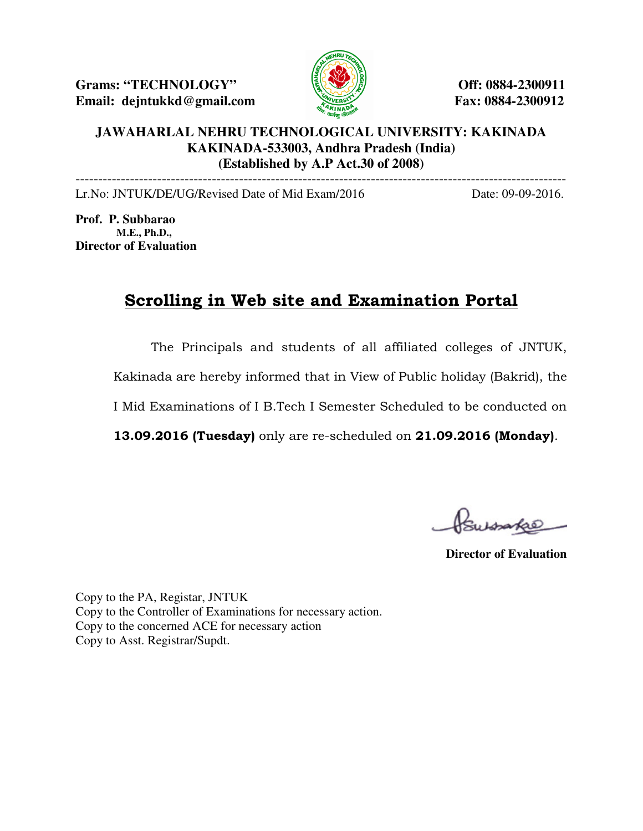Grams: "TECHNOLOGY" **Example 2300911 Email: dejntukkd@gmail.com Fax: 0884-2300912** 



------------------------------------------------------------------------------------------------------------

## **JAWAHARLAL NEHRU TECHNOLOGICAL UNIVERSITY: KAKINADA KAKINADA-533003, Andhra Pradesh (India) (Established by A.P Act.30 of 2008)**

Lr.No: JNTUK/DE/UG/Revised Date of Mid Exam/2016 Date: 09-09-2016.

**Prof. P. Subbarao M.E., Ph.D., Director of Evaluation** 

## Scrolling in Web site and Examination Portal

The Principals and students of all affiliated colleges of JNTUK, Kakinada are hereby informed that in View of Public holiday (Bakrid), the I Mid Examinations of I B.Tech I Semester Scheduled to be conducted on 13.09.2016 (Tuesday) only are re-scheduled on 21.09.2016 (Monday).

**Director of Evaluation** 

Copy to the PA, Registar, JNTUK Copy to the Controller of Examinations for necessary action. Copy to the concerned ACE for necessary action Copy to Asst. Registrar/Supdt.